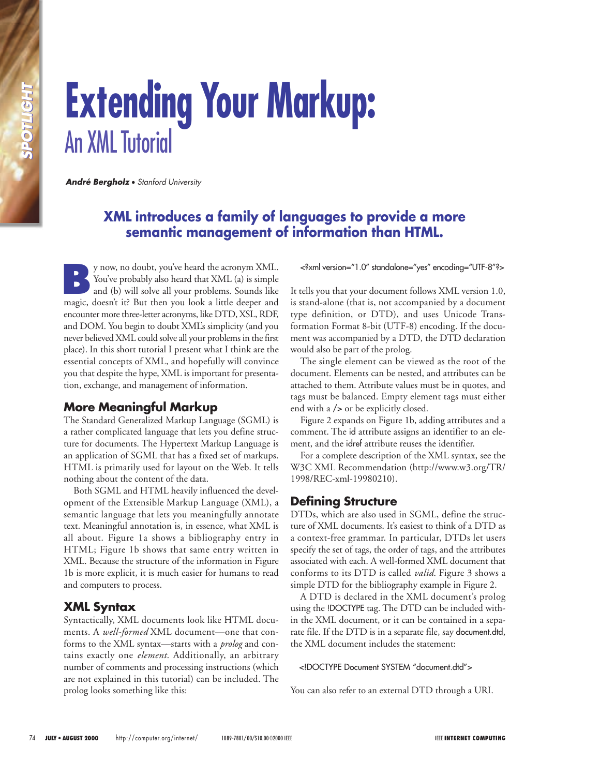# **Extending Your Markup:** An XML Tutorial

*André Bergholz* • *Stanford University*

# **XML introduces a family of languages to provide a more semantic management of information than HTML.**

**By** now, no doubt, you've heard the acronym XML.<br>
You've probably also heard that XML (a) is simple<br>
and (b) will solve all your problems. Sounds like<br>
means decay', it's But then you look a little decay and You've probably also heard that XML (a) is simple magic, doesn't it? But then you look a little deeper and encounter more three-letter acronyms, like DTD, XSL, RDF, and DOM. You begin to doubt XML's simplicity (and you never believed XML could solve all your problems in the first place). In this short tutorial I present what I think are the essential concepts of XML, and hopefully will convince you that despite the hype, XML is important for presentation, exchange, and management of information.

## **More Meaningful Markup**

The Standard Generalized Markup Language (SGML) is a rather complicated language that lets you define structure for documents. The Hypertext Markup Language is an application of SGML that has a fixed set of markups. HTML is primarily used for layout on the Web. It tells nothing about the content of the data.

Both SGML and HTML heavily influenced the development of the Extensible Markup Language (XML), a semantic language that lets you meaningfully annotate text. Meaningful annotation is, in essence, what XML is all about. Figure 1a shows a bibliography entry in HTML; Figure 1b shows that same entry written in XML. Because the structure of the information in Figure 1b is more explicit, it is much easier for humans to read and computers to process.

# **XML Syntax**

Syntactically, XML documents look like HTML documents. A *well-formed* XML document—one that conforms to the XML syntax—starts with a *prolog* and contains exactly one *element*. Additionally, an arbitrary number of comments and processing instructions (which are not explained in this tutorial) can be included. The prolog looks something like this:

<?xml version="1.0" standalone="yes" encoding="UTF-8"?>

It tells you that your document follows XML version 1.0, is stand-alone (that is, not accompanied by a document type definition, or DTD), and uses Unicode Transformation Format 8-bit (UTF-8) encoding. If the document was accompanied by a DTD, the DTD declaration would also be part of the prolog.

The single element can be viewed as the root of the document. Elements can be nested, and attributes can be attached to them. Attribute values must be in quotes, and tags must be balanced. Empty element tags must either end with a /> or be explicitly closed.

Figure 2 expands on Figure 1b, adding attributes and a comment. The id attribute assigns an identifier to an element, and the idref attribute reuses the identifier.

For a complete description of the XML syntax, see the W3C XML Recommendation (http://www.w3.org/TR/ 1998/REC-xml-19980210).

# **Defining Structure**

DTDs, which are also used in SGML, define the structure of XML documents. It's easiest to think of a DTD as a context-free grammar. In particular, DTDs let users specify the set of tags, the order of tags, and the attributes associated with each. A well-formed XML document that conforms to its DTD is called *valid*. Figure 3 shows a simple DTD for the bibliography example in Figure 2.

A DTD is declared in the XML document's prolog using the !DOCTYPE tag. The DTD can be included within the XML document, or it can be contained in a separate file. If the DTD is in a separate file, say document.dtd, the XML document includes the statement:

<!DOCTYPE Document SYSTEM "document.dtd">

You can also refer to an external DTD through a URI.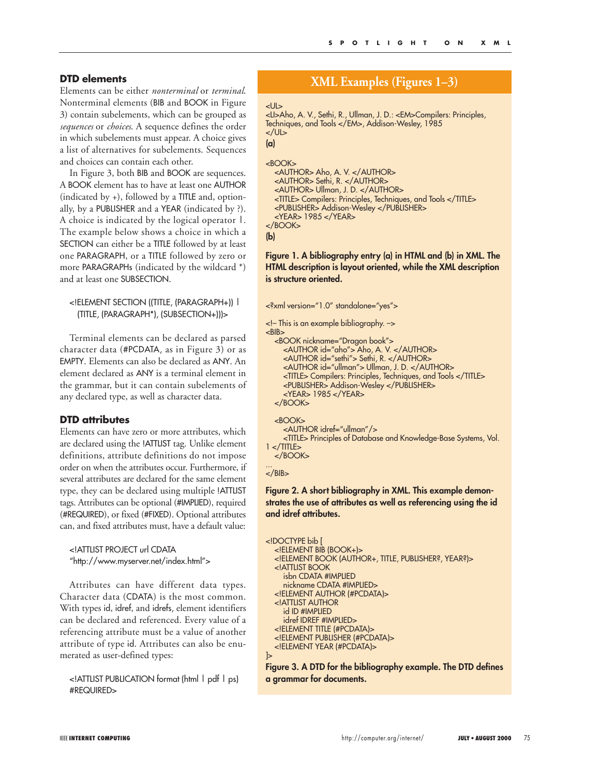#### **DTD elements**

Elements can be either *nonterminal* or *terminal*. Nonterminal elements (BIB and BOOK in Figure 3) contain subelements, which can be grouped as *sequences* or *choices*. A sequence defines the order in which subelements must appear. A choice gives a list of alternatives for subelements. Sequences and choices can contain each other.

In Figure 3, both BIB and BOOK are sequences. A BOOK element has to have at least one AUTHOR (indicated by +), followed by a TITLE and, optionally, by a PUBLISHER and a YEAR (indicated by ?). A choice is indicated by the logical operator |. The example below shows a choice in which a SECTION can either be a TITLE followed by at least one PARAGRAPH, or a TITLE followed by zero or more PARAGRAPHs (indicated by the wildcard \*) and at least one SUBSECTION.

#### <!ELEMENT SECTION ((TITLE, (PARAGRAPH+)) | (TITLE, (PARAGRAPH\*), (SUBSECTION+)))>

Terminal elements can be declared as parsed character data (#PCDATA, as in Figure 3) or as EMPTY. Elements can also be declared as ANY. An element declared as ANY is a terminal element in the grammar, but it can contain subelements of any declared type, as well as character data.

#### **DTD attributes**

Elements can have zero or more attributes, which are declared using the !ATTLIST tag. Unlike element definitions, attribute definitions do not impose order on when the attributes occur. Furthermore, if several attributes are declared for the same element type, they can be declared using multiple !ATTLIST tags. Attributes can be optional (#IMPLIED), required (#REQUIRED), or fixed (#FIXED). Optional attributes can, and fixed attributes must, have a default value:

<!ATTLIST PROJECT url CDATA "http://www.myserver.net/index.html">

Attributes can have different data types. Character data (CDATA) is the most common. With types id, idref, and idrefs, element identifiers can be declared and referenced. Every value of a referencing attribute must be a value of another attribute of type id. Attributes can also be enumerated as user-defined types:

<!ATTLIST PUBLICATION format (html | pdf | ps) #REQUIRED>

# **XML Examples (Figures 1–3)**

```
<
```
<LI>Aho, A. V., Sethi, R., Ullman, J. D.: <EM>Compilers: Principles, Techniques, and Tools </EM>, Addison-Wesley, 1985 </UL>

```
(a)
```
**(b)**

```
<BOOK> 
  <AUTHOR> Aho, A. V. </AUTHOR> 
  <AUTHOR> Sethi, R. </AUTHOR> 
  <AUTHOR> Ullman, J. D. </AUTHOR> 
  <TITLE> Compilers: Principles, Techniques, and Tools </TITLE> 
  <PUBLISHER> Addison-Wesley </PUBLISHER> 
  <YEAR> 1985 </YEAR> 
</BOOK>
```
**Figure 1. A bibliography entry (a) in HTML and (b) in XML. The HTML description is layout oriented, while the XML description is structure oriented.**

```
<?xml version="1.0" standalone="yes">
```
<!– This is an example bibliography. –>  $RIR<sub>3</sub>$ <BOOK nickname="Dragon book"> <AUTHOR id="aho"> Aho, A. V. </AUTHOR> <AUTHOR id="sethi"> Sethi, R. </AUTHOR> <AUTHOR id="ullman"> Ullman, J. D. </AUTHOR> <TITLE> Compilers: Principles, Techniques, and Tools </TITLE> <PUBLISHER> Addison-Wesley </PUBLISHER> <YEAR> 1985 </YEAR> </BOOK>

<BOOK> <AUTHOR idref="ullman"/> <TITLE> Principles of Database and Knowledge-Base Systems, Vol.  $1 <$ /TITLE $>$ </BOOK>

... </BIB>

#### **Figure 2. A short bibliography in XML. This example demonstrates the use of attributes as well as referencing using the id and idref attributes.**

```
<!DOCTYPE bib [
  <!ELEMENT BIB (BOOK+)> 
  <!ELEMENT BOOK (AUTHOR+, TITLE, PUBLISHER?, YEAR?)> 
  <!ATTLIST BOOK 
     isbn CDATA #IMPLIED 
    nickname CDATA #IMPLIED> 
  <!ELEMENT AUTHOR (#PCDATA)> 
  <!ATTLIST AUTHOR 
    id ID #IMPLIED 
     idref IDREF #IMPLIED> 
  <!ELEMENT TITLE (#PCDATA)> 
  <!ELEMENT PUBLISHER (#PCDATA)> 
  <!ELEMENT YEAR (#PCDATA)>
\mathsf{R}
```
**Figure 3. A DTD for the bibliography example. The DTD defines a grammar for documents.**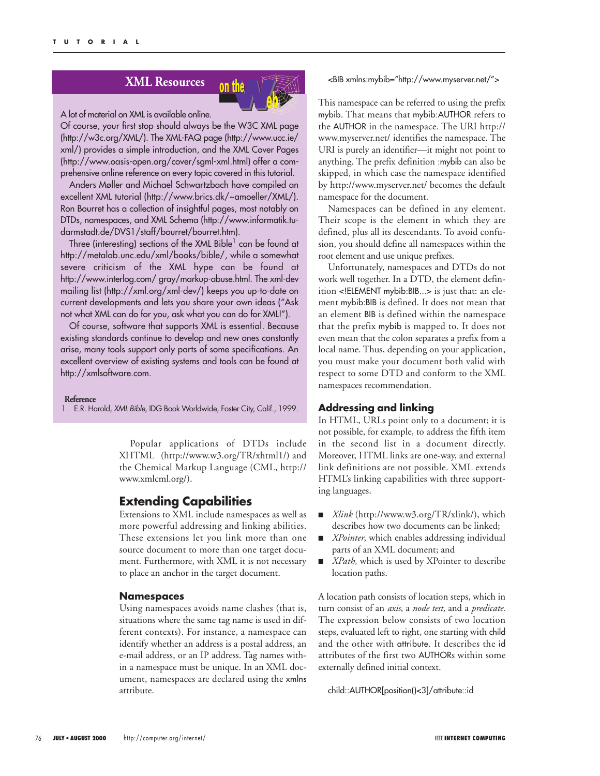# **XML Resources** on the



#### A lot of material on XML is available online.

Of course, your first stop should always be the W3C XML page (http://w3c.org/XML/). The XML-FAQ page (http://www.ucc.ie/ xml/) provides a simple introduction, and the XML Cover Pages (http://www.oasis-open.org/cover/sgml-xml.html) offer a comprehensive online reference on every topic covered in this tutorial.

Anders Møller and Michael Schwartzbach have compiled an excellent XML tutorial (http://www.brics.dk/~amoeller/XML/). Ron Bourret has a collection of insightful pages, most notably on DTDs, namespaces, and XML Schema (http://www.informatik.tudarmstadt.de/DVS1/staff/bourret/bourret.htm).

Three (interesting) sections of the XML Bible $<sup>1</sup>$  can be found at</sup> http://metalab.unc.edu/xml/books/bible/, while a somewhat severe criticism of the XML hype can be found at http://www.interlog.com/ gray/markup-abuse.html. The xml-dev mailing list (http://xml.org/xml-dev/) keeps you up-to-date on current developments and lets you share your own ideas ("Ask not what XML can do for you, ask what you can do for XML!").

Of course, software that supports XML is essential. Because existing standards continue to develop and new ones constantly arise, many tools support only parts of some specifications. An excellent overview of existing systems and tools can be found at http://xmlsoftware.com.

#### **Reference**

1. E.R. Harold, *XML Bible*, IDG Book Worldwide, Foster City, Calif., 1999.

Popular applications of DTDs include XHTML (http://www.w3.org/TR/xhtml1/) and the Chemical Markup Language (CML, http:// www.xmlcml.org/).

#### **Extending Capabilities**

Extensions to XML include namespaces as well as more powerful addressing and linking abilities. These extensions let you link more than one source document to more than one target document. Furthermore, with XML it is not necessary to place an anchor in the target document.

#### **Namespaces**

Using namespaces avoids name clashes (that is, situations where the same tag name is used in different contexts). For instance, a namespace can identify whether an address is a postal address, an e-mail address, or an IP address. Tag names within a namespace must be unique. In an XML document, namespaces are declared using the xmlns attribute.

#### <BIB xmlns:mybib="http://www.myserver.net/">

This namespace can be referred to using the prefix mybib. That means that mybib:AUTHOR refers to the AUTHOR in the namespace. The URI http:// www.myserver.net/ identifies the namespace. The URI is purely an identifier—it might not point to anything. The prefix definition :mybib can also be skipped, in which case the namespace identified by http://www.myserver.net/ becomes the default namespace for the document.

Namespaces can be defined in any element. Their scope is the element in which they are defined, plus all its descendants. To avoid confusion, you should define all namespaces within the root element and use unique prefixes.

Unfortunately, namespaces and DTDs do not work well together. In a DTD, the element definition <!ELEMENT mybib:BIB...> is just that: an element mybib:BIB is defined. It does not mean that an element BIB is defined within the namespace that the prefix mybib is mapped to. It does not even mean that the colon separates a prefix from a local name. Thus, depending on your application, you must make your document both valid with respect to some DTD and conform to the XML namespaces recommendation.

#### **Addressing and linking**

In HTML, URLs point only to a document; it is not possible, for example, to address the fifth item in the second list in a document directly. Moreover, HTML links are one-way, and external link definitions are not possible. XML extends HTML's linking capabilities with three supporting languages.

- *Xlink* (http://www.w3.org/TR/xlink/), which describes how two documents can be linked;
- *XPointer*, which enables addressing individual parts of an XML document; and
- XPath, which is used by XPointer to describe location paths.

A location path consists of location steps, which in turn consist of an *axis*, a *node test,* and a *predicate*. The expression below consists of two location steps, evaluated left to right, one starting with child and the other with attribute. It describes the id attributes of the first two AUTHORs within some externally defined initial context.

child::AUTHOR[position()<3]/attribute::id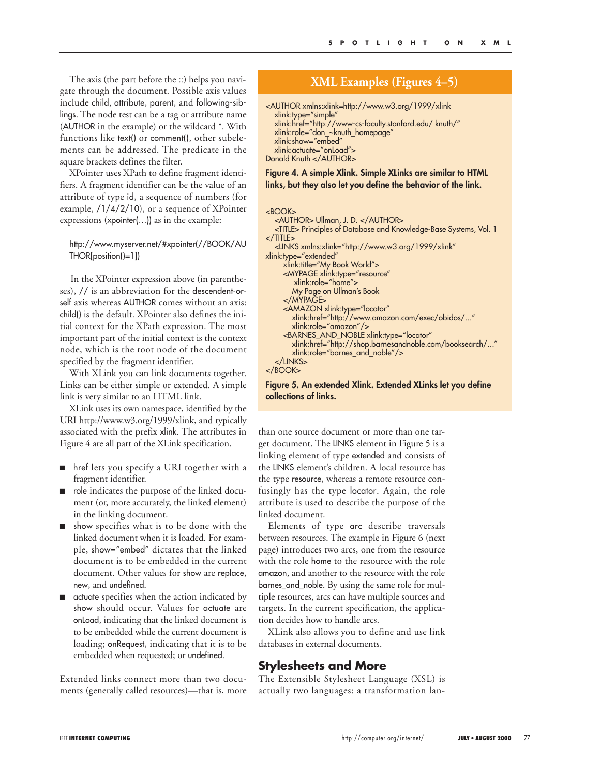The axis (the part before the ::) helps you navigate through the document. Possible axis values include child, attribute, parent, and following-siblings. The node test can be a tag or attribute name (AUTHOR in the example) or the wildcard \*. With functions like text() or comment(), other subelements can be addressed. The predicate in the square brackets defines the filter.

XPointer uses XPath to define fragment identifiers. A fragment identifier can be the value of an attribute of type id, a sequence of numbers (for example, /1/4/2/10), or a sequence of XPointer expressions (xpointer(…)) as in the example:

#### http://www.myserver.net/#xpointer(//BOOK/AU THOR[position()=1])

In the XPointer expression above (in parentheses), // is an abbreviation for the descendent-orself axis whereas AUTHOR comes without an axis: child() is the default. XPointer also defines the initial context for the XPath expression. The most important part of the initial context is the context node, which is the root node of the document specified by the fragment identifier.

With XLink you can link documents together. Links can be either simple or extended. A simple link is very similar to an HTML link.

XLink uses its own namespace, identified by the URI http://www.w3.org/1999/xlink, and typically associated with the prefix xlink. The attributes in Figure 4 are all part of the XLink specification.

- href lets you specify a URI together with a fragment identifier.
- role indicates the purpose of the linked document (or, more accurately, the linked element) in the linking document.
- show specifies what is to be done with the linked document when it is loaded. For example, show="embed" dictates that the linked document is to be embedded in the current document. Other values for show are replace, new, and undefined.
- actuate specifies when the action indicated by show should occur. Values for actuate are onLoad, indicating that the linked document is to be embedded while the current document is loading; onRequest, indicating that it is to be embedded when requested; or undefined.

Extended links connect more than two documents (generally called resources)—that is, more

# **XML Examples (Figures 4–5)**

```
<AUTHOR xmlns:xlink=http://www.w3.org/1999/xlink
  xlink:type="simple" 
  xlink:href="http://www-cs-faculty.stanford.edu/ knuth/" 
  xlink:role="don_~knuth_homepage" 
  xlink:show="embed" 
  xlink:actuate="onLoad"> 
Donald Knuth </AUTHOR>
```
#### **Figure 4. A simple Xlink. Simple XLinks are similar to HTML links, but they also let you define the behavior of the link.**

| $<$ BOOK $>$                                                              |
|---------------------------------------------------------------------------|
| <author> Ullman, J. D. </author>                                          |
| <title> Principles of Database and Knowledge-Base Systems, Vol. 1</title> |
| $<$ /TITLE $>$                                                            |
| <links <="" td="" xmlns:xlink="http://www.w3.org/1999/xlink"></links>     |
| xlink:type="extended"                                                     |
| xlink:title="My Book World">                                              |
| <mypage <="" td="" xlink:type="resource"></mypage>                        |
| $xlink:role="home"$                                                       |
| My Page on Ullman's Book                                                  |
| $<$ /MYPAGE>                                                              |
| <amazon <="" td="" xlink:type="locator"></amazon>                         |
| xlink:href="http://www.amazon.com/exec/obidos/"                           |
| $xlink:role="amazon''/>$                                                  |
| <barnes_and_noble <="" td="" xlink:type="locator"></barnes_and_noble>     |
| xlink:href="http://shop.barnesandnoble.com/booksearch/"                   |
| xlink:role="barnes and noble"/>                                           |
| $<$ /LINKS $>$                                                            |
| $<$ /BOOK>                                                                |

#### **Figure 5. An extended Xlink. Extended XLinks let you define collections of links.**

than one source document or more than one target document. The LINKS element in Figure 5 is a linking element of type extended and consists of the LINKS element's children. A local resource has the type resource, whereas a remote resource confusingly has the type locator. Again, the role attribute is used to describe the purpose of the linked document.

Elements of type arc describe traversals between resources. The example in Figure 6 (next page) introduces two arcs, one from the resource with the role home to the resource with the role amazon, and another to the resource with the role barnes\_and\_noble. By using the same role for multiple resources, arcs can have multiple sources and targets. In the current specification, the application decides how to handle arcs.

XLink also allows you to define and use link databases in external documents.

#### **Stylesheets and More**

The Extensible Stylesheet Language (XSL) is actually two languages: a transformation lan-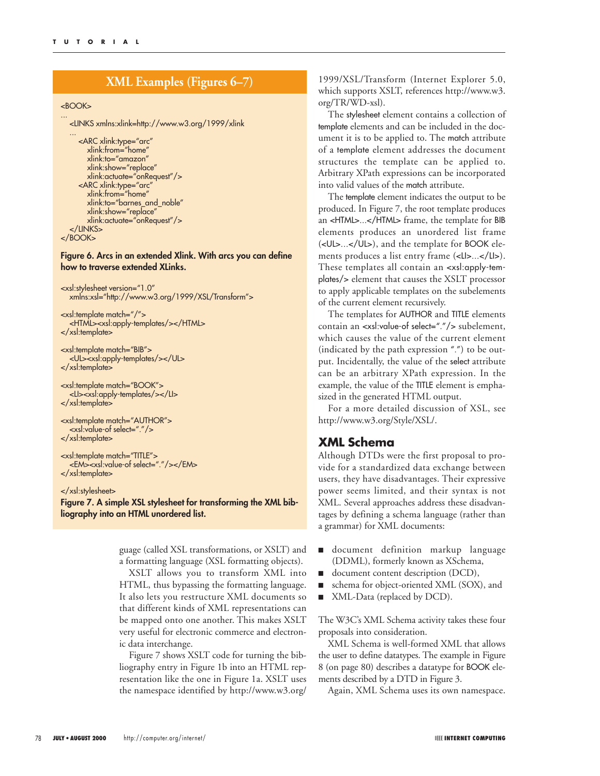# **XML Examples (Figures 6–7)**

#### <BOOK>

... <LINKS xmlns:xlink=http://www.w3.org/1999/xlink

... <ARC xlink:type="arc" xlink:from="home" xlink:to="amazon" xlink:show="replace" xlink:actuate="onRequest"/> <ARC xlink:type="arc" xlink:from="home" xlink:to="barnes\_and\_noble" xlink:show="replace" xlink:actuate="onRequest"/> </LINKS>

```
</BOOK>
```
#### **Figure 6. Arcs in an extended Xlink. With arcs you can define how to traverse extended XLinks.**

<xsl:stylesheet version="1.0" xmlns:xsl="http://www.w3.org/1999/XSL/Transform">

<xsl:template match="/"> <HTML><xsl:apply-templates/></HTML> </xsl:template>

<xsl:template match="BIB"> <UL><xsl:apply-templates/></UL> </xsl:template>

<xsl:template match="BOOK"> <LI><xsl:apply-templates/></LI> </xsl:template>

<xsl:template match="AUTHOR"> <xsl:value-of select="."/> </xsl:template>

<xsl:template match="TITLE"> <EM><xsl:value-of select="."/></EM> </xsl:template>

#### </xsl:stylesheet>

**Figure 7. A simple XSL stylesheet for transforming the XML bibliography into an HTML unordered list.**

> guage (called XSL transformations, or XSLT) and a formatting language (XSL formatting objects).

> XSLT allows you to transform XML into HTML, thus bypassing the formatting language. It also lets you restructure XML documents so that different kinds of XML representations can be mapped onto one another. This makes XSLT very useful for electronic commerce and electronic data interchange.

> Figure 7 shows XSLT code for turning the bibliography entry in Figure 1b into an HTML representation like the one in Figure 1a. XSLT uses the namespace identified by http://www.w3.org/

1999/XSL/Transform (Internet Explorer 5.0, which supports XSLT, references http://www.w3. org/TR/WD-xsl).

The stylesheet element contains a collection of template elements and can be included in the document it is to be applied to. The match attribute of a template element addresses the document structures the template can be applied to. Arbitrary XPath expressions can be incorporated into valid values of the match attribute.

The template element indicates the output to be produced. In Figure 7, the root template produces an <HTML>...</HTML> frame, the template for BIB elements produces an unordered list frame (<UL>...</UL>), and the template for BOOK elements produces a list entry frame (<LI>...</LI>). These templates all contain an <xsl:apply-templates/> element that causes the XSLT processor to apply applicable templates on the subelements of the current element recursively.

The templates for AUTHOR and TITLE elements contain an <xsl:value-of select="."/> subelement, which causes the value of the current element (indicated by the path expression ".") to be output. Incidentally, the value of the select attribute can be an arbitrary XPath expression. In the example, the value of the TITLE element is emphasized in the generated HTML output.

For a more detailed discussion of XSL, see http://www.w3.org/Style/XSL/.

#### **XML Schema**

Although DTDs were the first proposal to provide for a standardized data exchange between users, they have disadvantages. Their expressive power seems limited, and their syntax is not XML. Several approaches address these disadvantages by defining a schema language (rather than a grammar) for XML documents:

- document definition markup language (DDML), formerly known as XSchema,
- document content description (DCD),
- schema for object-oriented XML (SOX), and
- XML-Data (replaced by DCD).

The W3C's XML Schema activity takes these four proposals into consideration.

XML Schema is well-formed XML that allows the user to define datatypes. The example in Figure 8 (on page 80) describes a datatype for BOOK elements described by a DTD in Figure 3.

Again, XML Schema uses its own namespace.